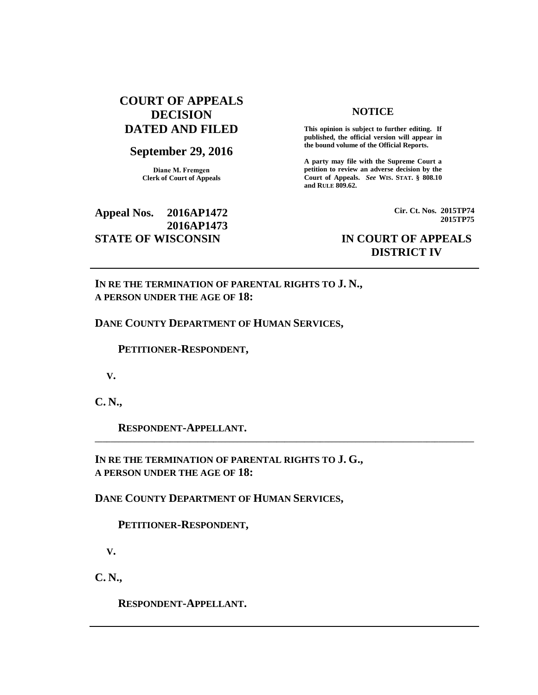## **COURT OF APPEALS DECISION DATED AND FILED**

## **September 29, 2016**

**Diane M. Fremgen Clerk of Court of Appeals**

## **Appeal Nos. 2016AP1472 2016AP1473 STATE OF WISCONSIN IN COURT OF APPEALS**

### **NOTICE**

**This opinion is subject to further editing. If published, the official version will appear in the bound volume of the Official Reports.** 

**A party may file with the Supreme Court a petition to review an adverse decision by the Court of Appeals.** *See* **WIS. STAT. § 808.10 and RULE 809.62.** 

> **Cir. Ct. Nos. 2015TP74 2015TP75**

# **DISTRICT IV**

**IN RE THE TERMINATION OF PARENTAL RIGHTS TO J. N., A PERSON UNDER THE AGE OF 18:**

#### **DANE COUNTY DEPARTMENT OF HUMAN SERVICES,**

 **PETITIONER-RESPONDENT,**

 **V.**

**C. N.,**

 **RESPONDENT-APPELLANT.** 

**IN RE THE TERMINATION OF PARENTAL RIGHTS TO J. G., A PERSON UNDER THE AGE OF 18:**

**\_\_\_\_\_\_\_\_\_\_\_\_\_\_\_\_\_\_\_\_\_\_\_\_\_\_\_\_\_\_\_\_\_\_\_\_\_\_\_\_\_\_\_\_\_\_\_\_\_\_\_\_\_\_\_\_\_\_\_\_\_\_\_\_\_\_\_\_\_\_\_\_\_\_\_\_\_\_\_\_\_\_\_\_\_\_\_\_\_\_\_\_\_\_\_\_**

**DANE COUNTY DEPARTMENT OF HUMAN SERVICES,**

 **PETITIONER-RESPONDENT,**

 **V.**

**C. N.,**

 **RESPONDENT-APPELLANT.**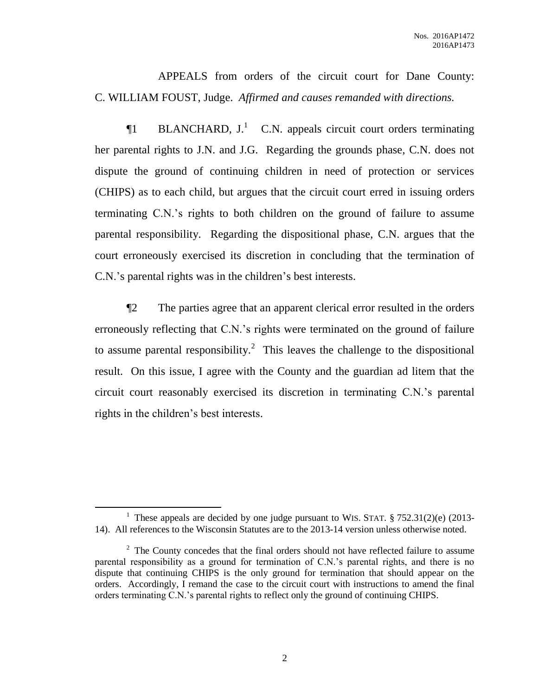APPEALS from orders of the circuit court for Dane County: C. WILLIAM FOUST, Judge. *Affirmed and causes remanded with directions.*

 $\P1$  BLANCHARD, J.<sup>1</sup> C.N. appeals circuit court orders terminating her parental rights to J.N. and J.G. Regarding the grounds phase, C.N. does not dispute the ground of continuing children in need of protection or services (CHIPS) as to each child, but argues that the circuit court erred in issuing orders terminating C.N.'s rights to both children on the ground of failure to assume parental responsibility. Regarding the dispositional phase, C.N. argues that the court erroneously exercised its discretion in concluding that the termination of C.N.'s parental rights was in the children's best interests.

¶2 The parties agree that an apparent clerical error resulted in the orders erroneously reflecting that C.N.'s rights were terminated on the ground of failure to assume parental responsibility.<sup>2</sup> This leaves the challenge to the dispositional result. On this issue, I agree with the County and the guardian ad litem that the circuit court reasonably exercised its discretion in terminating C.N.'s parental rights in the children's best interests.

 $\overline{a}$ 

<sup>&</sup>lt;sup>1</sup> These appeals are decided by one judge pursuant to WIS. STAT.  $\S 752.31(2)(e)$  (2013-14). All references to the Wisconsin Statutes are to the 2013-14 version unless otherwise noted.

 $2^2$  The County concedes that the final orders should not have reflected failure to assume parental responsibility as a ground for termination of C.N.'s parental rights, and there is no dispute that continuing CHIPS is the only ground for termination that should appear on the orders. Accordingly, I remand the case to the circuit court with instructions to amend the final orders terminating C.N.'s parental rights to reflect only the ground of continuing CHIPS.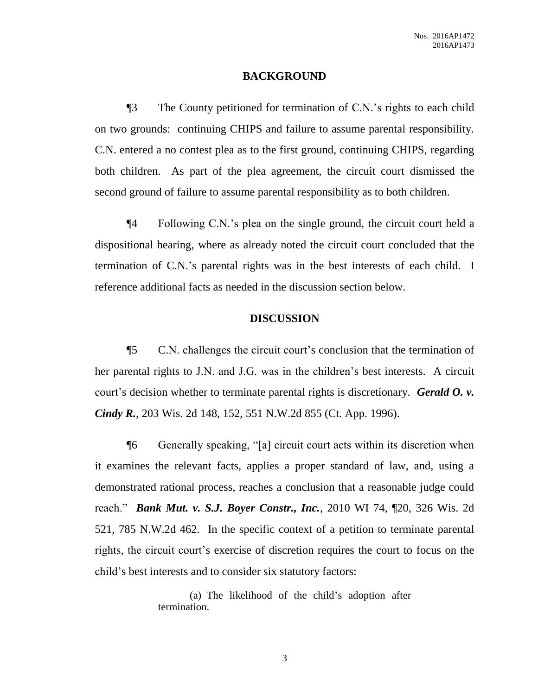### **BACKGROUND**

¶3 The County petitioned for termination of C.N.'s rights to each child on two grounds: continuing CHIPS and failure to assume parental responsibility. C.N. entered a no contest plea as to the first ground, continuing CHIPS, regarding both children. As part of the plea agreement, the circuit court dismissed the second ground of failure to assume parental responsibility as to both children.

¶4 Following C.N.'s plea on the single ground, the circuit court held a dispositional hearing, where as already noted the circuit court concluded that the termination of C.N.'s parental rights was in the best interests of each child. I reference additional facts as needed in the discussion section below.

### **DISCUSSION**

¶5 C.N. challenges the circuit court's conclusion that the termination of her parental rights to J.N. and J.G. was in the children's best interests. A circuit court's decision whether to terminate parental rights is discretionary. *Gerald O. v. Cindy R.*, 203 Wis. 2d 148, 152, 551 N.W.2d 855 (Ct. App. 1996).

¶6 Generally speaking, "[a] circuit court acts within its discretion when it examines the relevant facts, applies a proper standard of law, and, using a demonstrated rational process, reaches a conclusion that a reasonable judge could reach." *Bank Mut. v. S.J. Boyer Constr., Inc.*, 2010 WI 74, ¶20, 326 Wis. 2d 521, 785 N.W.2d 462. In the specific context of a petition to terminate parental rights, the circuit court's exercise of discretion requires the court to focus on the child's best interests and to consider six statutory factors:

> (a) The likelihood of the child's adoption after termination.

> > 3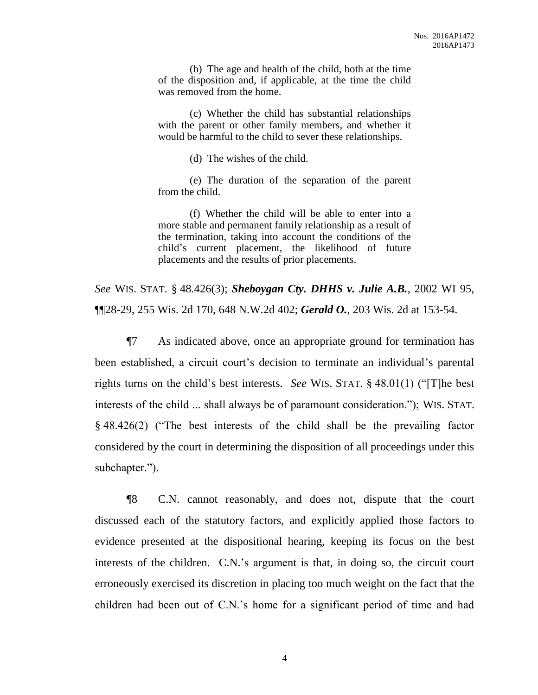(b) The age and health of the child, both at the time of the disposition and, if applicable, at the time the child was removed from the home.

(c) Whether the child has substantial relationships with the parent or other family members, and whether it would be harmful to the child to sever these relationships.

(d) The wishes of the child.

(e) The duration of the separation of the parent from the child.

(f) Whether the child will be able to enter into a more stable and permanent family relationship as a result of the termination, taking into account the conditions of the child's current placement, the likelihood of future placements and the results of prior placements.

*See* WIS. STAT. § 48.426(3); *Sheboygan Cty. DHHS v. Julie A.B.*, 2002 WI 95, ¶¶28-29, 255 Wis. 2d 170, 648 N.W.2d 402; *Gerald O.*, 203 Wis. 2d at 153-54.

¶7 As indicated above, once an appropriate ground for termination has been established, a circuit court's decision to terminate an individual's parental rights turns on the child's best interests. *See* WIS. STAT. § 48.01(1) ("[T]he best interests of the child ... shall always be of paramount consideration."); WIS. STAT. § 48.426(2) ("The best interests of the child shall be the prevailing factor considered by the court in determining the disposition of all proceedings under this subchapter.").

¶8 C.N. cannot reasonably, and does not, dispute that the court discussed each of the statutory factors, and explicitly applied those factors to evidence presented at the dispositional hearing, keeping its focus on the best interests of the children. C.N.'s argument is that, in doing so, the circuit court erroneously exercised its discretion in placing too much weight on the fact that the children had been out of C.N.'s home for a significant period of time and had

4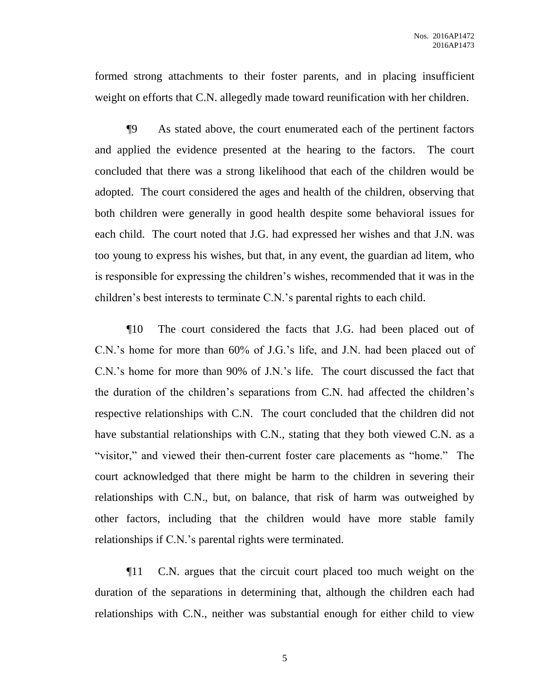formed strong attachments to their foster parents, and in placing insufficient weight on efforts that C.N. allegedly made toward reunification with her children.

¶9 As stated above, the court enumerated each of the pertinent factors and applied the evidence presented at the hearing to the factors. The court concluded that there was a strong likelihood that each of the children would be adopted. The court considered the ages and health of the children, observing that both children were generally in good health despite some behavioral issues for each child. The court noted that J.G. had expressed her wishes and that J.N. was too young to express his wishes, but that, in any event, the guardian ad litem, who is responsible for expressing the children's wishes, recommended that it was in the children's best interests to terminate C.N.'s parental rights to each child.

¶10 The court considered the facts that J.G. had been placed out of C.N.'s home for more than 60% of J.G.'s life, and J.N. had been placed out of C.N.'s home for more than 90% of J.N.'s life. The court discussed the fact that the duration of the children's separations from C.N. had affected the children's respective relationships with C.N. The court concluded that the children did not have substantial relationships with C.N., stating that they both viewed C.N. as a "visitor," and viewed their then-current foster care placements as "home." The court acknowledged that there might be harm to the children in severing their relationships with C.N., but, on balance, that risk of harm was outweighed by other factors, including that the children would have more stable family relationships if C.N.'s parental rights were terminated.

¶11 C.N. argues that the circuit court placed too much weight on the duration of the separations in determining that, although the children each had relationships with C.N., neither was substantial enough for either child to view

5